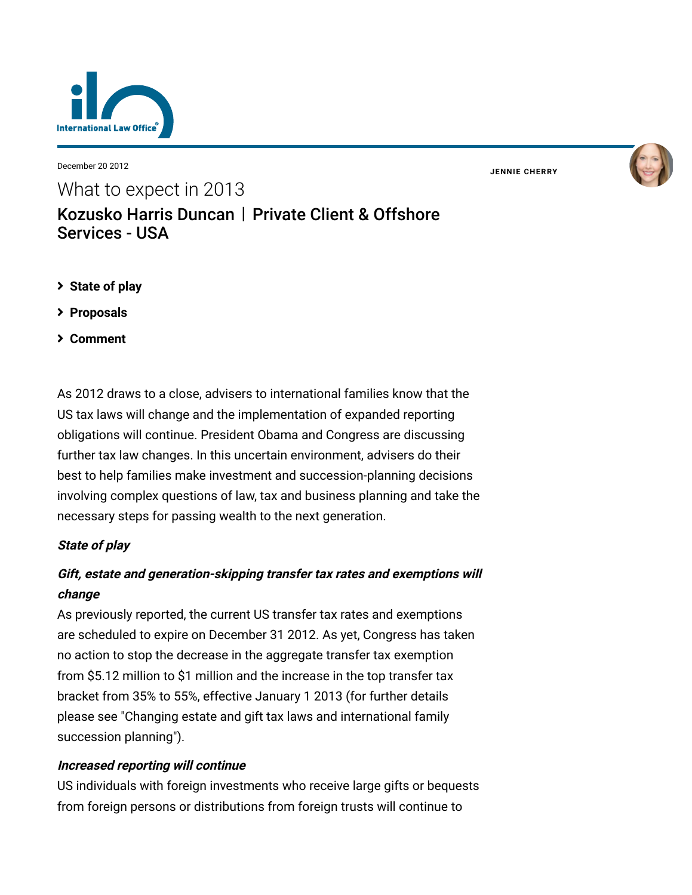

December 20 2012

What to expect in 2013

**JENNIE [CHERRY](https://www.lexology.com/23364/author/Jennie_Cherry/)**



## **[State of play](#page-0-0)**

Services - USA

- **[Proposals](#page-2-0)**
- **[Comment](#page-2-1)**

As 2012 draws to a close, advisers to international families know that the US tax laws will change and the implementation of expanded reporting obligations will continue. President Obama and Congress are discussing further tax law changes. In this uncertain environment, advisers do their best to help families make investment and succession-planning decisions involving complex questions of law, tax and business planning and take the necessary steps for passing wealth to the next generation.

[Kozusko Harris Duncan](https://www.lexology.com/contributors/23364) | Private Client & Offshore

## <span id="page-0-0"></span>**State of play**

# **Gift, estate and generation-skipping transfer tax rates and exemptions will change**

As previously reported, the current US transfer tax rates and exemptions are scheduled to expire on December 31 2012. As yet, Congress has taken no action to stop the decrease in the aggregate transfer tax exemption from \$5.12 million to \$1 million and the increase in the top transfer tax bracket from 35% to 55%, effective January 1 2013 (for further details [please see "Changing estate and gift tax laws and international family](http://www.internationallawoffice.com/newsletters/detail.aspx?g=89584c6c-1c54-4be1-a58f-3e2ef469619d) succession planning").

## **Increased reporting will continue**

US individuals with foreign investments who receive large gifts or bequests from foreign persons or distributions from foreign trusts will continue to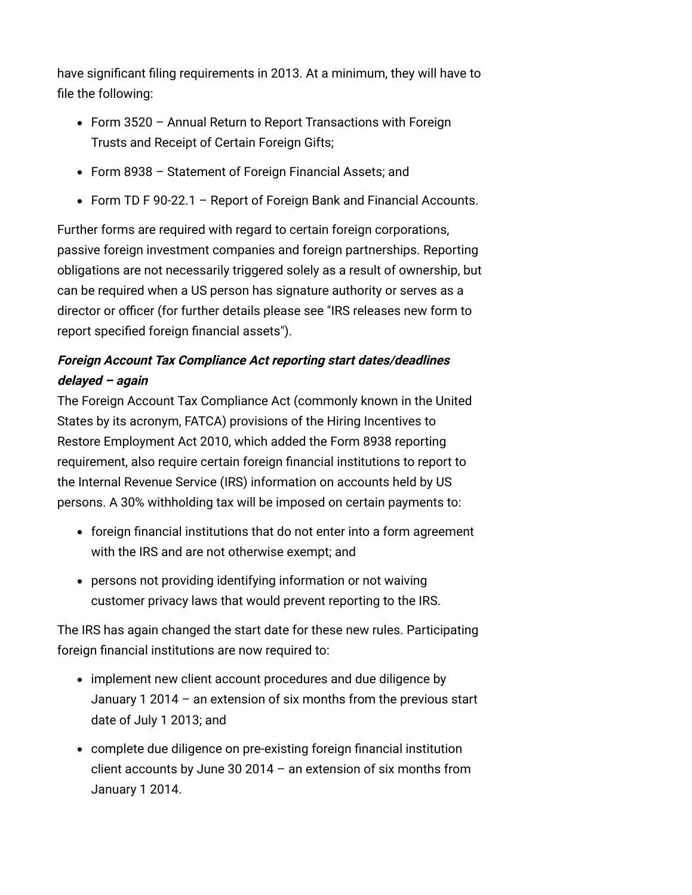have significant filing requirements in 2013. At a minimum, they will have to file the following:

- Form 3520 Annual Return to Report Transactions with Foreign Trusts and Receipt of Certain Foreign Gifts;
- Form 8938 Statement of Foreign Financial Assets; and
- Form TD F 90-22.1 Report of Foreign Bank and Financial Accounts.

Further forms are required with regard to certain foreign corporations, passive foreign investment companies and foreign partnerships. Reporting obligations are not necessarily triggered solely as a result of ownership, but can be required when a US person has signature authority or serves as a [director or officer \(for further details please see "IRS releases new form to](http://www.internationallawoffice.com/newsletters/detail.aspx?g=1da9dd2f-7552-4f5f-a90b-ede05a3bc18a) report specified foreign financial assets").

## **Foreign Account Tax Compliance Act reporting start dates/deadlines delayed – again**

The Foreign Account Tax Compliance Act (commonly known in the United States by its acronym, FATCA) provisions of the Hiring Incentives to Restore Employment Act 2010, which added the Form 8938 reporting requirement, also require certain foreign financial institutions to report to the Internal Revenue Service (IRS) information on accounts held by US persons. A 30% withholding tax will be imposed on certain payments to:

- foreign financial institutions that do not enter into a form agreement with the IRS and are not otherwise exempt; and
- persons not providing identifying information or not waiving customer privacy laws that would prevent reporting to the IRS.

The IRS has again changed the start date for these new rules. Participating foreign financial institutions are now required to:

- implement new client account procedures and due diligence by January 1 2014 – an extension of six months from the previous start date of July 1 2013; and
- complete due diligence on pre-existing foreign financial institution client accounts by June 30 2014 – an extension of six months from January 1 2014.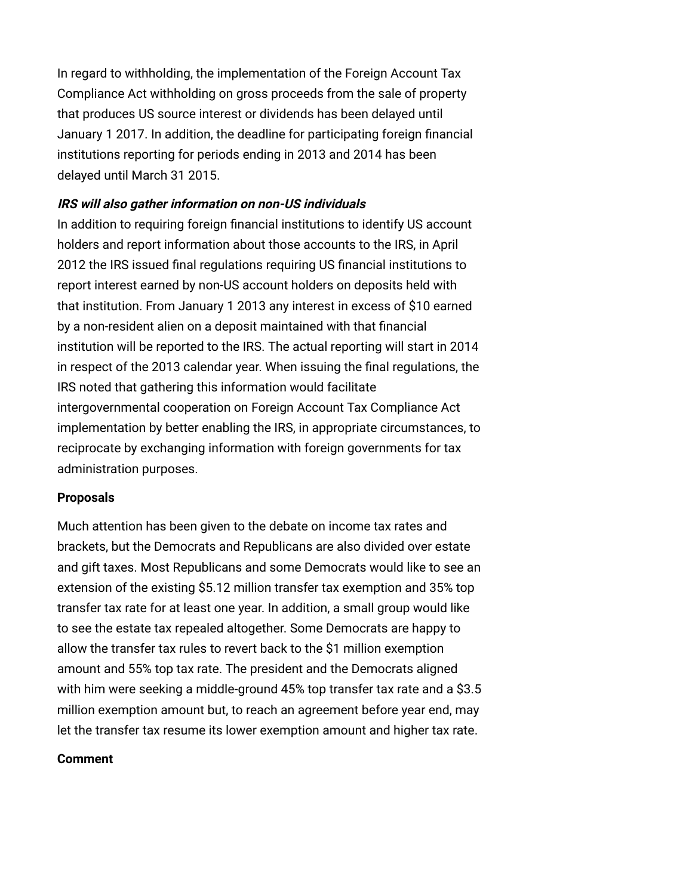In regard to withholding, the implementation of the Foreign Account Tax Compliance Act withholding on gross proceeds from the sale of property that produces US source interest or dividends has been delayed until January 1 2017. In addition, the deadline for participating foreign financial institutions reporting for periods ending in 2013 and 2014 has been delayed until March 31 2015.

### **IRS will also gather information on non-US individuals**

In addition to requiring foreign financial institutions to identify US account holders and report information about those accounts to the IRS, in April 2012 the IRS issued final regulations requiring US financial institutions to report interest earned by non-US account holders on deposits held with that institution. From January 1 2013 any interest in excess of \$10 earned by a non-resident alien on a deposit maintained with that financial institution will be reported to the IRS. The actual reporting will start in 2014 in respect of the 2013 calendar year. When issuing the final regulations, the IRS noted that gathering this information would facilitate intergovernmental cooperation on Foreign Account Tax Compliance Act implementation by better enabling the IRS, in appropriate circumstances, to reciprocate by exchanging information with foreign governments for tax administration purposes.

### <span id="page-2-0"></span>**Proposals**

Much attention has been given to the debate on income tax rates and brackets, but the Democrats and Republicans are also divided over estate and gift taxes. Most Republicans and some Democrats would like to see an extension of the existing \$5.12 million transfer tax exemption and 35% top transfer tax rate for at least one year. In addition, a small group would like to see the estate tax repealed altogether. Some Democrats are happy to allow the transfer tax rules to revert back to the \$1 million exemption amount and 55% top tax rate. The president and the Democrats aligned with him were seeking a middle-ground 45% top transfer tax rate and a \$3.5 million exemption amount but, to reach an agreement before year end, may let the transfer tax resume its lower exemption amount and higher tax rate.

### <span id="page-2-1"></span>**Comment**